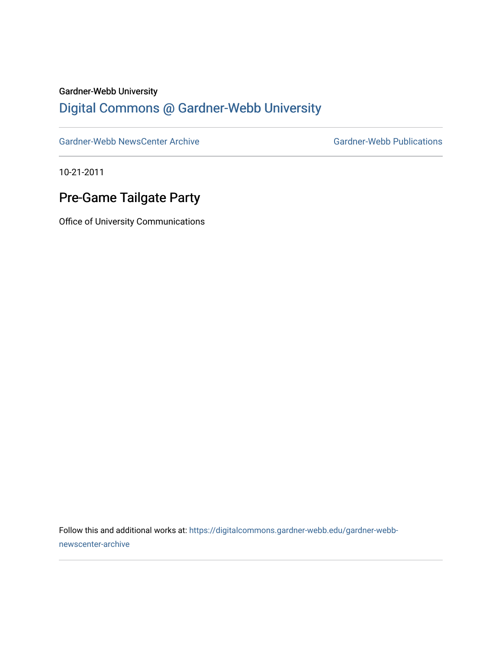## Gardner-Webb University

## [Digital Commons @ Gardner-Webb University](https://digitalcommons.gardner-webb.edu/)

[Gardner-Webb NewsCenter Archive](https://digitalcommons.gardner-webb.edu/gardner-webb-newscenter-archive) Gardner-Webb Publications

10-21-2011

## Pre-Game Tailgate Party

Office of University Communications

Follow this and additional works at: [https://digitalcommons.gardner-webb.edu/gardner-webb](https://digitalcommons.gardner-webb.edu/gardner-webb-newscenter-archive?utm_source=digitalcommons.gardner-webb.edu%2Fgardner-webb-newscenter-archive%2F2010&utm_medium=PDF&utm_campaign=PDFCoverPages)[newscenter-archive](https://digitalcommons.gardner-webb.edu/gardner-webb-newscenter-archive?utm_source=digitalcommons.gardner-webb.edu%2Fgardner-webb-newscenter-archive%2F2010&utm_medium=PDF&utm_campaign=PDFCoverPages)